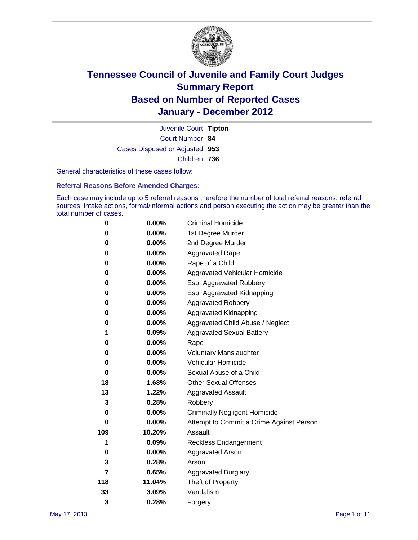

Court Number: **84** Juvenile Court: **Tipton** Cases Disposed or Adjusted: **953** Children: **736**

General characteristics of these cases follow:

**Referral Reasons Before Amended Charges:** 

Each case may include up to 5 referral reasons therefore the number of total referral reasons, referral sources, intake actions, formal/informal actions and person executing the action may be greater than the total number of cases.

| 0   | 0.00%    | <b>Criminal Homicide</b>                 |  |  |
|-----|----------|------------------------------------------|--|--|
| 0   | 0.00%    | 1st Degree Murder                        |  |  |
| 0   | $0.00\%$ | 2nd Degree Murder                        |  |  |
| 0   | $0.00\%$ | <b>Aggravated Rape</b>                   |  |  |
| 0   | 0.00%    | Rape of a Child                          |  |  |
| 0   | 0.00%    | Aggravated Vehicular Homicide            |  |  |
| 0   | 0.00%    | Esp. Aggravated Robbery                  |  |  |
| 0   | $0.00\%$ | Esp. Aggravated Kidnapping               |  |  |
| 0   | $0.00\%$ | <b>Aggravated Robbery</b>                |  |  |
| 0   | $0.00\%$ | Aggravated Kidnapping                    |  |  |
| 0   | $0.00\%$ | Aggravated Child Abuse / Neglect         |  |  |
| 1   | 0.09%    | <b>Aggravated Sexual Battery</b>         |  |  |
| 0   | 0.00%    | Rape                                     |  |  |
| 0   | $0.00\%$ | <b>Voluntary Manslaughter</b>            |  |  |
| 0   | 0.00%    | Vehicular Homicide                       |  |  |
| 0   | $0.00\%$ | Sexual Abuse of a Child                  |  |  |
| 18  | 1.68%    | <b>Other Sexual Offenses</b>             |  |  |
| 13  | 1.22%    | <b>Aggravated Assault</b>                |  |  |
| 3   | 0.28%    | Robbery                                  |  |  |
| 0   | 0.00%    | <b>Criminally Negligent Homicide</b>     |  |  |
| 0   | $0.00\%$ | Attempt to Commit a Crime Against Person |  |  |
| 109 | 10.20%   | Assault                                  |  |  |
| 1   | 0.09%    | <b>Reckless Endangerment</b>             |  |  |
| 0   | 0.00%    | <b>Aggravated Arson</b>                  |  |  |
| 3   | 0.28%    | Arson                                    |  |  |
| 7   | 0.65%    | <b>Aggravated Burglary</b>               |  |  |
| 118 | 11.04%   | Theft of Property                        |  |  |
| 33  | 3.09%    | Vandalism                                |  |  |
| 3   | 0.28%    | Forgery                                  |  |  |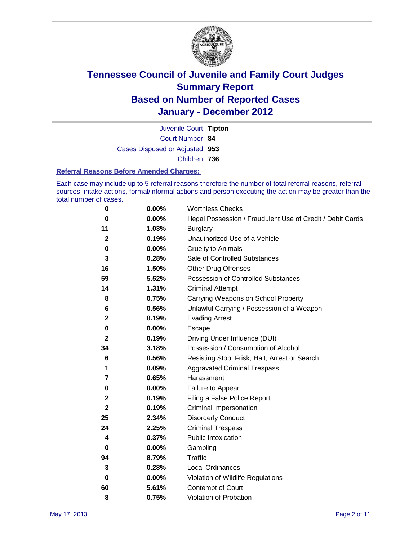

Court Number: **84** Juvenile Court: **Tipton** Cases Disposed or Adjusted: **953** Children: **736**

#### **Referral Reasons Before Amended Charges:**

Each case may include up to 5 referral reasons therefore the number of total referral reasons, referral sources, intake actions, formal/informal actions and person executing the action may be greater than the total number of cases.

| 0            | 0.00% | <b>Worthless Checks</b>                                     |
|--------------|-------|-------------------------------------------------------------|
| 0            | 0.00% | Illegal Possession / Fraudulent Use of Credit / Debit Cards |
| 11           | 1.03% | <b>Burglary</b>                                             |
| $\mathbf{2}$ | 0.19% | Unauthorized Use of a Vehicle                               |
| 0            | 0.00% | <b>Cruelty to Animals</b>                                   |
| 3            | 0.28% | Sale of Controlled Substances                               |
| 16           | 1.50% | <b>Other Drug Offenses</b>                                  |
| 59           | 5.52% | Possession of Controlled Substances                         |
| 14           | 1.31% | <b>Criminal Attempt</b>                                     |
| 8            | 0.75% | Carrying Weapons on School Property                         |
| 6            | 0.56% | Unlawful Carrying / Possession of a Weapon                  |
| 2            | 0.19% | <b>Evading Arrest</b>                                       |
| 0            | 0.00% | Escape                                                      |
| 2            | 0.19% | Driving Under Influence (DUI)                               |
| 34           | 3.18% | Possession / Consumption of Alcohol                         |
| 6            | 0.56% | Resisting Stop, Frisk, Halt, Arrest or Search               |
| 1            | 0.09% | <b>Aggravated Criminal Trespass</b>                         |
| 7            | 0.65% | Harassment                                                  |
| 0            | 0.00% | Failure to Appear                                           |
| 2            | 0.19% | Filing a False Police Report                                |
| $\mathbf 2$  | 0.19% | Criminal Impersonation                                      |
| 25           | 2.34% | <b>Disorderly Conduct</b>                                   |
| 24           | 2.25% | <b>Criminal Trespass</b>                                    |
| 4            | 0.37% | <b>Public Intoxication</b>                                  |
| 0            | 0.00% | Gambling                                                    |
| 94           | 8.79% | <b>Traffic</b>                                              |
| 3            | 0.28% | <b>Local Ordinances</b>                                     |
| 0            | 0.00% | Violation of Wildlife Regulations                           |
| 60           | 5.61% | Contempt of Court                                           |
| 8            | 0.75% | Violation of Probation                                      |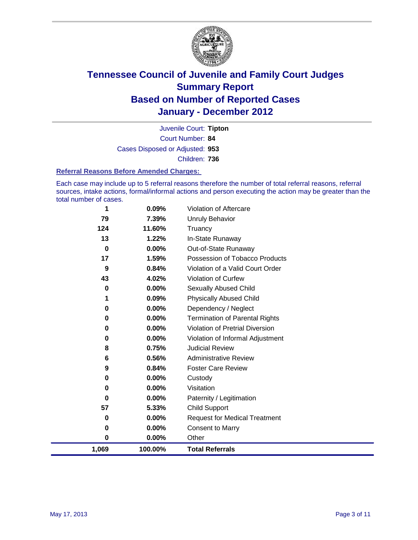

Court Number: **84** Juvenile Court: **Tipton** Cases Disposed or Adjusted: **953** Children: **736**

#### **Referral Reasons Before Amended Charges:**

Each case may include up to 5 referral reasons therefore the number of total referral reasons, referral sources, intake actions, formal/informal actions and person executing the action may be greater than the total number of cases.

| 1        | 0.09%    | Violation of Aftercare                 |
|----------|----------|----------------------------------------|
| 79       | 7.39%    | Unruly Behavior                        |
| 124      | 11.60%   | Truancy                                |
| 13       | 1.22%    | In-State Runaway                       |
| $\bf{0}$ | $0.00\%$ | Out-of-State Runaway                   |
| 17       | 1.59%    | Possession of Tobacco Products         |
| 9        | 0.84%    | Violation of a Valid Court Order       |
| 43       | 4.02%    | Violation of Curfew                    |
| 0        | 0.00%    | Sexually Abused Child                  |
|          | 0.09%    | <b>Physically Abused Child</b>         |
| 0        | 0.00%    | Dependency / Neglect                   |
| 0        | 0.00%    | <b>Termination of Parental Rights</b>  |
| 0        | 0.00%    | <b>Violation of Pretrial Diversion</b> |
| 0        | 0.00%    | Violation of Informal Adjustment       |
| 8        | 0.75%    | <b>Judicial Review</b>                 |
| 6        | 0.56%    | <b>Administrative Review</b>           |
| 9        | 0.84%    | <b>Foster Care Review</b>              |
| 0        | 0.00%    | Custody                                |
| 0        | 0.00%    | Visitation                             |
| 0        | 0.00%    | Paternity / Legitimation               |
| 57       | 5.33%    | <b>Child Support</b>                   |
| 0        | 0.00%    | <b>Request for Medical Treatment</b>   |
| 0        | 0.00%    | <b>Consent to Marry</b>                |
| 0        | 0.00%    | Other                                  |
| 1,069    | 100.00%  | <b>Total Referrals</b>                 |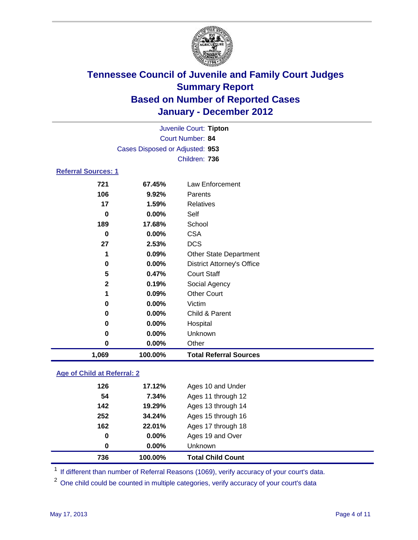

|                            | Juvenile Court: Tipton          |                                   |  |  |
|----------------------------|---------------------------------|-----------------------------------|--|--|
| Court Number: 84           |                                 |                                   |  |  |
|                            | Cases Disposed or Adjusted: 953 |                                   |  |  |
|                            |                                 | Children: 736                     |  |  |
| <b>Referral Sources: 1</b> |                                 |                                   |  |  |
| 721                        | 67.45%                          | Law Enforcement                   |  |  |
| 106                        | 9.92%                           | Parents                           |  |  |
| 17                         | 1.59%                           | <b>Relatives</b>                  |  |  |
| $\bf{0}$                   | 0.00%                           | Self                              |  |  |
| 189                        | 17.68%                          | School                            |  |  |
| $\bf{0}$                   | 0.00%                           | <b>CSA</b>                        |  |  |
| 27                         | 2.53%                           | <b>DCS</b>                        |  |  |
| 1                          | 0.09%                           | Other State Department            |  |  |
| $\mathbf 0$                | 0.00%                           | <b>District Attorney's Office</b> |  |  |
| 5                          | 0.47%                           | <b>Court Staff</b>                |  |  |
| $\mathbf{2}$               | 0.19%                           | Social Agency                     |  |  |
| 1                          | 0.09%                           | <b>Other Court</b>                |  |  |
| 0                          | 0.00%                           | Victim                            |  |  |
| 0                          | 0.00%                           | Child & Parent                    |  |  |
| 0                          | 0.00%                           | Hospital                          |  |  |
| 0                          | 0.00%                           | Unknown                           |  |  |
| 0                          | 0.00%                           | Other                             |  |  |
| 1,069                      | 100.00%                         | <b>Total Referral Sources</b>     |  |  |

### **Age of Child at Referral: 2**

|     | $0.00\%$ | <b>Unknown</b>     |  |
|-----|----------|--------------------|--|
| 0   | $0.00\%$ | Ages 19 and Over   |  |
| 162 | 22.01%   | Ages 17 through 18 |  |
| 252 | 34.24%   | Ages 15 through 16 |  |
| 142 | 19.29%   | Ages 13 through 14 |  |
| 54  | 7.34%    | Ages 11 through 12 |  |
| 126 | 17.12%   | Ages 10 and Under  |  |
|     | 0        |                    |  |

<sup>1</sup> If different than number of Referral Reasons (1069), verify accuracy of your court's data.

<sup>2</sup> One child could be counted in multiple categories, verify accuracy of your court's data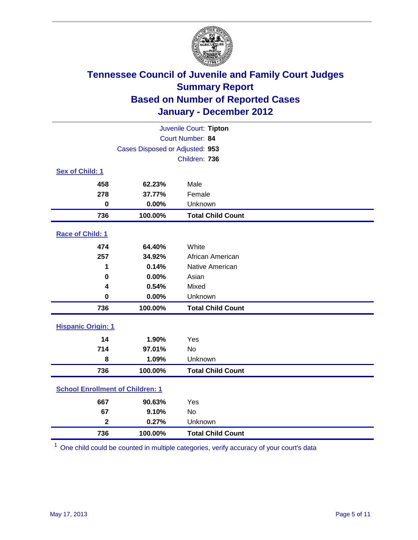

| Juvenile Court: Tipton                  |                                 |                          |  |  |
|-----------------------------------------|---------------------------------|--------------------------|--|--|
| Court Number: 84                        |                                 |                          |  |  |
|                                         | Cases Disposed or Adjusted: 953 |                          |  |  |
|                                         |                                 | Children: 736            |  |  |
| Sex of Child: 1                         |                                 |                          |  |  |
| 458                                     | 62.23%                          | Male                     |  |  |
| 278                                     | 37.77%                          | Female                   |  |  |
| $\mathbf 0$                             | 0.00%                           | Unknown                  |  |  |
| 736                                     | 100.00%                         | <b>Total Child Count</b> |  |  |
| Race of Child: 1                        |                                 |                          |  |  |
| 474                                     | 64.40%                          | White                    |  |  |
| 257                                     | 34.92%                          | African American         |  |  |
| 1                                       | 0.14%                           | Native American          |  |  |
| $\mathbf 0$                             | 0.00%                           | Asian                    |  |  |
| 4                                       | 0.54%                           | Mixed                    |  |  |
| $\mathbf 0$                             | 0.00%                           | Unknown                  |  |  |
| 736                                     | 100.00%                         | <b>Total Child Count</b> |  |  |
| <b>Hispanic Origin: 1</b>               |                                 |                          |  |  |
| 14                                      | 1.90%                           | Yes                      |  |  |
| 714                                     | 97.01%                          | <b>No</b>                |  |  |
| 8                                       | 1.09%                           | Unknown                  |  |  |
| 736                                     | 100.00%                         | <b>Total Child Count</b> |  |  |
| <b>School Enrollment of Children: 1</b> |                                 |                          |  |  |
| 667                                     | 90.63%                          | Yes                      |  |  |
| 67                                      | 9.10%                           | No                       |  |  |
| $\overline{\mathbf{2}}$                 | 0.27%                           | Unknown                  |  |  |
| 736                                     | 100.00%                         | <b>Total Child Count</b> |  |  |

One child could be counted in multiple categories, verify accuracy of your court's data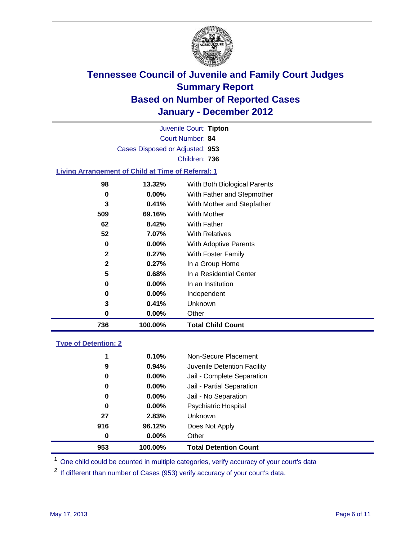

Court Number: **84** Juvenile Court: **Tipton** Cases Disposed or Adjusted: **953** Children: **736**

#### **Living Arrangement of Child at Time of Referral: 1**

| 736          | 100.00%  | <b>Total Child Count</b>     |
|--------------|----------|------------------------------|
| 0            | 0.00%    | Other                        |
| 3            | 0.41%    | Unknown                      |
| 0            | $0.00\%$ | Independent                  |
| 0            | 0.00%    | In an Institution            |
| 5            | 0.68%    | In a Residential Center      |
| 2            | 0.27%    | In a Group Home              |
| $\mathbf{2}$ | 0.27%    | With Foster Family           |
| 0            | 0.00%    | With Adoptive Parents        |
| 52           | 7.07%    | <b>With Relatives</b>        |
| 62           | 8.42%    | With Father                  |
| 509          | 69.16%   | With Mother                  |
| 3            | 0.41%    | With Mother and Stepfather   |
| 0            | $0.00\%$ | With Father and Stepmother   |
| 98           | 13.32%   | With Both Biological Parents |
|              |          |                              |

#### **Type of Detention: 2**

| 953 | 100.00%  | <b>Total Detention Count</b> |  |
|-----|----------|------------------------------|--|
| 0   | $0.00\%$ | Other                        |  |
| 916 | 96.12%   | Does Not Apply               |  |
| 27  | 2.83%    | <b>Unknown</b>               |  |
| 0   | 0.00%    | <b>Psychiatric Hospital</b>  |  |
| 0   | 0.00%    | Jail - No Separation         |  |
| 0   | $0.00\%$ | Jail - Partial Separation    |  |
| 0   | $0.00\%$ | Jail - Complete Separation   |  |
| 9   | 0.94%    | Juvenile Detention Facility  |  |
| 1   | 0.10%    | Non-Secure Placement         |  |
|     |          |                              |  |

<sup>1</sup> One child could be counted in multiple categories, verify accuracy of your court's data

<sup>2</sup> If different than number of Cases (953) verify accuracy of your court's data.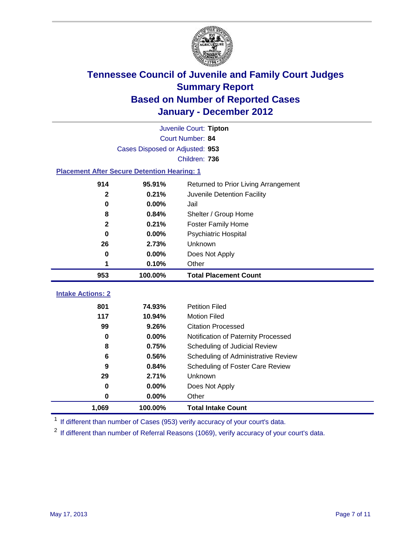

|                                                    | Juvenile Court: Tipton          |                                      |  |  |  |
|----------------------------------------------------|---------------------------------|--------------------------------------|--|--|--|
|                                                    | Court Number: 84                |                                      |  |  |  |
|                                                    | Cases Disposed or Adjusted: 953 |                                      |  |  |  |
|                                                    |                                 | Children: 736                        |  |  |  |
| <b>Placement After Secure Detention Hearing: 1</b> |                                 |                                      |  |  |  |
| 914                                                | 95.91%                          | Returned to Prior Living Arrangement |  |  |  |
| $\mathbf{2}$                                       | 0.21%                           | Juvenile Detention Facility          |  |  |  |
| $\bf{0}$                                           | 0.00%                           | Jail                                 |  |  |  |
| 8                                                  | 0.84%                           | Shelter / Group Home                 |  |  |  |
| $\mathbf{2}$                                       | 0.21%                           | Foster Family Home                   |  |  |  |
| $\bf{0}$                                           | 0.00%                           | Psychiatric Hospital                 |  |  |  |
| 26                                                 | 2.73%                           | Unknown                              |  |  |  |
| $\bf{0}$                                           | 0.00%                           | Does Not Apply                       |  |  |  |
| 1                                                  | 0.10%                           | Other                                |  |  |  |
| 953                                                | 100.00%                         | <b>Total Placement Count</b>         |  |  |  |
| <b>Intake Actions: 2</b>                           |                                 |                                      |  |  |  |
|                                                    |                                 |                                      |  |  |  |
| 801                                                | 74.93%                          | <b>Petition Filed</b>                |  |  |  |
| 117                                                | 10.94%                          | <b>Motion Filed</b>                  |  |  |  |
| 99                                                 | 9.26%                           | <b>Citation Processed</b>            |  |  |  |
| 0                                                  | 0.00%                           | Notification of Paternity Processed  |  |  |  |
| 8                                                  | 0.75%                           | Scheduling of Judicial Review        |  |  |  |
| 6                                                  | 0.56%                           | Scheduling of Administrative Review  |  |  |  |
| 9                                                  | 0.84%                           | Scheduling of Foster Care Review     |  |  |  |
| 29                                                 | 2.71%                           | Unknown                              |  |  |  |
| 0                                                  | 0.00%                           | Does Not Apply                       |  |  |  |
| 0                                                  | 0.00%                           | Other                                |  |  |  |
| 1,069                                              | 100.00%                         | <b>Total Intake Count</b>            |  |  |  |

<sup>1</sup> If different than number of Cases (953) verify accuracy of your court's data.

<sup>2</sup> If different than number of Referral Reasons (1069), verify accuracy of your court's data.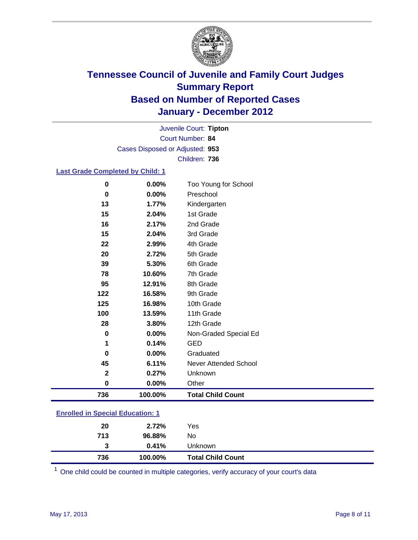

Court Number: **84** Juvenile Court: **Tipton** Cases Disposed or Adjusted: **953** Children: **736**

### **Last Grade Completed by Child: 1**

| $\bf{0}$                                | 0.00%    | Too Young for School         |  |
|-----------------------------------------|----------|------------------------------|--|
| 0                                       | 0.00%    | Preschool                    |  |
| 13                                      | 1.77%    | Kindergarten                 |  |
| 15                                      | 2.04%    | 1st Grade                    |  |
| 16                                      | 2.17%    | 2nd Grade                    |  |
| 15                                      | 2.04%    | 3rd Grade                    |  |
| 22                                      | 2.99%    | 4th Grade                    |  |
| 20                                      | 2.72%    | 5th Grade                    |  |
| 39                                      | 5.30%    | 6th Grade                    |  |
| 78                                      | 10.60%   | 7th Grade                    |  |
| 95                                      | 12.91%   | 8th Grade                    |  |
| 122                                     | 16.58%   | 9th Grade                    |  |
| 125                                     | 16.98%   | 10th Grade                   |  |
| 100                                     | 13.59%   | 11th Grade                   |  |
| 28                                      | 3.80%    | 12th Grade                   |  |
| 0                                       | 0.00%    | Non-Graded Special Ed        |  |
| 1                                       | 0.14%    | <b>GED</b>                   |  |
| 0                                       | 0.00%    | Graduated                    |  |
| 45                                      | 6.11%    | <b>Never Attended School</b> |  |
| $\mathbf{2}$                            | 0.27%    | Unknown                      |  |
| $\mathbf 0$                             | $0.00\%$ | Other                        |  |
| 736                                     | 100.00%  | <b>Total Child Count</b>     |  |
| <b>Enrolled in Special Education: 1</b> |          |                              |  |

| 736 | 100.00% | <b>Total Child Count</b> |  |  |
|-----|---------|--------------------------|--|--|
| 3   | 0.41%   | <b>Unknown</b>           |  |  |
| 713 | 96.88%  | No                       |  |  |
| 20  | 2.72%   | Yes                      |  |  |
|     |         |                          |  |  |

One child could be counted in multiple categories, verify accuracy of your court's data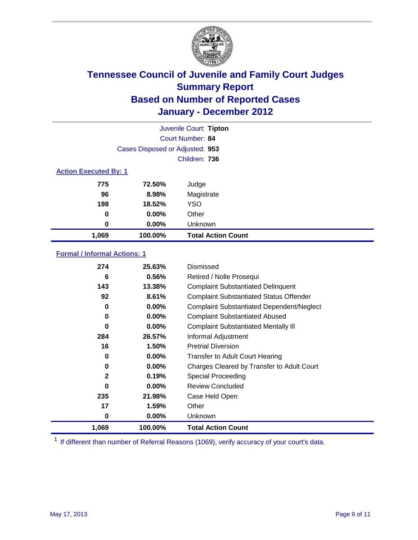

|                              | Juvenile Court: Tipton          |                           |  |  |
|------------------------------|---------------------------------|---------------------------|--|--|
|                              |                                 | Court Number: 84          |  |  |
|                              | Cases Disposed or Adjusted: 953 |                           |  |  |
| Children: 736                |                                 |                           |  |  |
| <b>Action Executed By: 1</b> |                                 |                           |  |  |
| 775                          | 72.50%                          | Judge                     |  |  |
| 96                           | 8.98%                           | Magistrate                |  |  |
| 198                          | 18.52%                          | <b>YSO</b>                |  |  |
| 0                            | $0.00\%$                        | Other                     |  |  |
| 0                            | 0.00%                           | Unknown                   |  |  |
| 1,069                        | 100.00%                         | <b>Total Action Count</b> |  |  |

### **Formal / Informal Actions: 1**

| 274          | 25.63%   | Dismissed                                        |
|--------------|----------|--------------------------------------------------|
| 6            | 0.56%    | Retired / Nolle Prosequi                         |
| 143          | 13.38%   | <b>Complaint Substantiated Delinquent</b>        |
| 92           | 8.61%    | <b>Complaint Substantiated Status Offender</b>   |
| 0            | $0.00\%$ | <b>Complaint Substantiated Dependent/Neglect</b> |
| 0            | $0.00\%$ | <b>Complaint Substantiated Abused</b>            |
| 0            | $0.00\%$ | <b>Complaint Substantiated Mentally III</b>      |
| 284          | 26.57%   | Informal Adjustment                              |
| 16           | 1.50%    | <b>Pretrial Diversion</b>                        |
| 0            | $0.00\%$ | <b>Transfer to Adult Court Hearing</b>           |
| 0            | $0.00\%$ | Charges Cleared by Transfer to Adult Court       |
| $\mathbf{2}$ | 0.19%    | Special Proceeding                               |
| 0            | $0.00\%$ | <b>Review Concluded</b>                          |
| 235          | 21.98%   | Case Held Open                                   |
| 17           | 1.59%    | Other                                            |
| 0            | $0.00\%$ | <b>Unknown</b>                                   |
| 1,069        | 100.00%  | <b>Total Action Count</b>                        |

<sup>1</sup> If different than number of Referral Reasons (1069), verify accuracy of your court's data.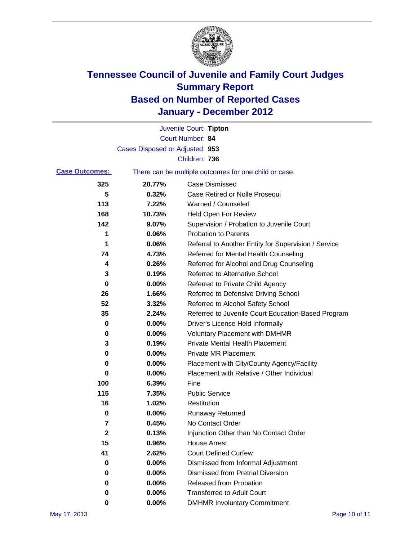

|                       |                                 | Juvenile Court: Tipton                                |
|-----------------------|---------------------------------|-------------------------------------------------------|
|                       |                                 | Court Number: 84                                      |
|                       | Cases Disposed or Adjusted: 953 |                                                       |
|                       |                                 | Children: 736                                         |
| <b>Case Outcomes:</b> |                                 | There can be multiple outcomes for one child or case. |
| 325                   | 20.77%                          | <b>Case Dismissed</b>                                 |
| 5                     | 0.32%                           | Case Retired or Nolle Prosequi                        |
| 113                   | 7.22%                           | Warned / Counseled                                    |
| 168                   | 10.73%                          | Held Open For Review                                  |
| 142                   | 9.07%                           | Supervision / Probation to Juvenile Court             |
| 1                     | 0.06%                           | <b>Probation to Parents</b>                           |
| 1                     | 0.06%                           | Referral to Another Entity for Supervision / Service  |
| 74                    | 4.73%                           | Referred for Mental Health Counseling                 |
| 4                     | 0.26%                           | Referred for Alcohol and Drug Counseling              |
| 3                     | 0.19%                           | <b>Referred to Alternative School</b>                 |
| 0                     | 0.00%                           | Referred to Private Child Agency                      |
| 26                    | 1.66%                           | Referred to Defensive Driving School                  |
| 52                    | 3.32%                           | Referred to Alcohol Safety School                     |
| 35                    | 2.24%                           | Referred to Juvenile Court Education-Based Program    |
| 0                     | 0.00%                           | Driver's License Held Informally                      |
| 0                     | 0.00%                           | <b>Voluntary Placement with DMHMR</b>                 |
| 3                     | 0.19%                           | <b>Private Mental Health Placement</b>                |
| 0                     | 0.00%                           | <b>Private MR Placement</b>                           |
| 0                     | 0.00%                           | Placement with City/County Agency/Facility            |
| 0                     | 0.00%                           | Placement with Relative / Other Individual            |
| 100                   | 6.39%                           | Fine                                                  |
| 115                   | 7.35%                           | <b>Public Service</b>                                 |
| 16                    | 1.02%                           | Restitution                                           |
| 0                     | 0.00%                           | <b>Runaway Returned</b>                               |
| 7                     | 0.45%                           | No Contact Order                                      |
| $\mathbf 2$           | 0.13%                           | Injunction Other than No Contact Order                |
| 15                    | 0.96%                           | <b>House Arrest</b>                                   |
| 41                    | 2.62%                           | <b>Court Defined Curfew</b>                           |
| 0                     | 0.00%                           | Dismissed from Informal Adjustment                    |
| 0                     | 0.00%                           | <b>Dismissed from Pretrial Diversion</b>              |
| 0                     | 0.00%                           | Released from Probation                               |
| 0                     | 0.00%                           | <b>Transferred to Adult Court</b>                     |
| 0                     | 0.00%                           | <b>DMHMR Involuntary Commitment</b>                   |